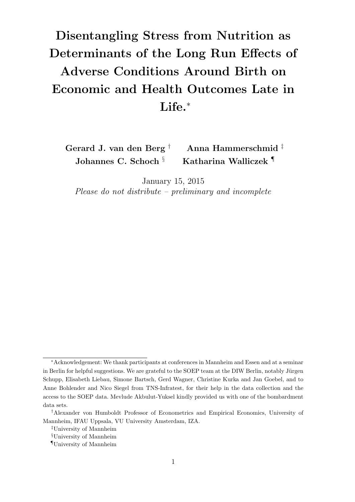## Disentangling Stress from Nutrition as Determinants of the Long Run Effects of Adverse Conditions Around Birth on Economic and Health Outcomes Late in Life.<sup>\*</sup>

Gerard J. van den Berg † Anna Hammerschmid ‡ Johannes C. Schoch <sup>§</sup> Katharina Walliczek <sup>¶</sup>

January 15, 2015

Please do not distribute – preliminary and incomplete

<sup>∗</sup>Acknowledgement: We thank participants at conferences in Mannheim and Essen and at a seminar in Berlin for helpful suggestions. We are grateful to the SOEP team at the DIW Berlin, notably Jürgen Schupp, Elisabeth Liebau, Simone Bartsch, Gerd Wagner, Christine Kurka and Jan Goebel, and to Anne Bohlender and Nico Siegel from TNS-Infratest, for their help in the data collection and the access to the SOEP data. Mevlude Akbulut-Yuksel kindly provided us with one of the bombardment data sets.

<sup>†</sup>Alexander von Humboldt Professor of Econometrics and Empirical Economics, University of Mannheim, IFAU Uppsala, VU University Amsterdam, IZA.

<sup>‡</sup>University of Mannheim

<sup>§</sup>University of Mannheim

<sup>¶</sup>University of Mannheim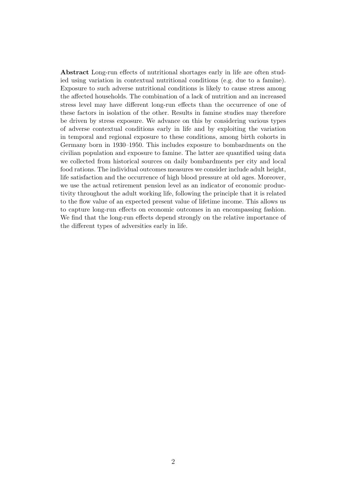Abstract Long-run effects of nutritional shortages early in life are often studied using variation in contextual nutritional conditions (e.g. due to a famine). Exposure to such adverse nutritional conditions is likely to cause stress among the affected households. The combination of a lack of nutrition and an increased stress level may have different long-run effects than the occurrence of one of these factors in isolation of the other. Results in famine studies may therefore be driven by stress exposure. We advance on this by considering various types of adverse contextual conditions early in life and by exploiting the variation in temporal and regional exposure to these conditions, among birth cohorts in Germany born in 1930–1950. This includes exposure to bombardments on the civilian population and exposure to famine. The latter are quantified using data we collected from historical sources on daily bombardments per city and local food rations. The individual outcomes measures we consider include adult height, life satisfaction and the occurrence of high blood pressure at old ages. Moreover, we use the actual retirement pension level as an indicator of economic productivity throughout the adult working life, following the principle that it is related to the flow value of an expected present value of lifetime income. This allows us to capture long-run effects on economic outcomes in an encompassing fashion. We find that the long-run effects depend strongly on the relative importance of the different types of adversities early in life.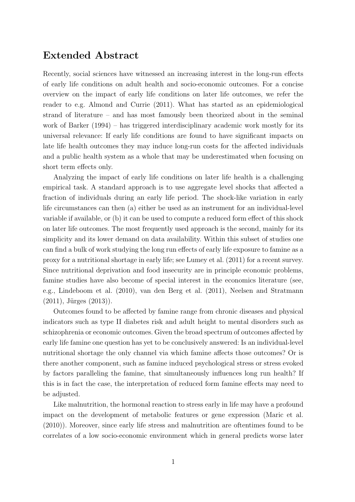## Extended Abstract

Recently, social sciences have witnessed an increasing interest in the long-run effects of early life conditions on adult health and socio-economic outcomes. For a concise overview on the impact of early life conditions on later life outcomes, we refer the reader to e.g. Almond and Currie (2011). What has started as an epidemiological strand of literature – and has most famously been theorized about in the seminal work of Barker (1994) – has triggered interdisciplinary academic work mostly for its universal relevance: If early life conditions are found to have significant impacts on late life health outcomes they may induce long-run costs for the affected individuals and a public health system as a whole that may be underestimated when focusing on short term effects only.

Analyzing the impact of early life conditions on later life health is a challenging empirical task. A standard approach is to use aggregate level shocks that affected a fraction of individuals during an early life period. The shock-like variation in early life circumstances can then (a) either be used as an instrument for an individual-level variable if available, or (b) it can be used to compute a reduced form effect of this shock on later life outcomes. The most frequently used approach is the second, mainly for its simplicity and its lower demand on data availability. Within this subset of studies one can find a bulk of work studying the long run effects of early life exposure to famine as a proxy for a nutritional shortage in early life; see Lumey et al. (2011) for a recent survey. Since nutritional deprivation and food insecurity are in principle economic problems, famine studies have also become of special interest in the economics literature (see, e.g., Lindeboom et al. (2010), van den Berg et al. (2011), Neelsen and Stratmann  $(2011)$ , Jürges  $(2013)$ ).

Outcomes found to be affected by famine range from chronic diseases and physical indicators such as type II diabetes risk and adult height to mental disorders such as schizophrenia or economic outcomes. Given the broad spectrum of outcomes affected by early life famine one question has yet to be conclusively answered: Is an individual-level nutritional shortage the only channel via which famine affects those outcomes? Or is there another component, such as famine induced psychological stress or stress evoked by factors paralleling the famine, that simultaneously influences long run health? If this is in fact the case, the interpretation of reduced form famine effects may need to be adjusted.

Like malnutrition, the hormonal reaction to stress early in life may have a profound impact on the development of metabolic features or gene expression (Maric et al. (2010)). Moreover, since early life stress and malnutrition are oftentimes found to be correlates of a low socio-economic environment which in general predicts worse later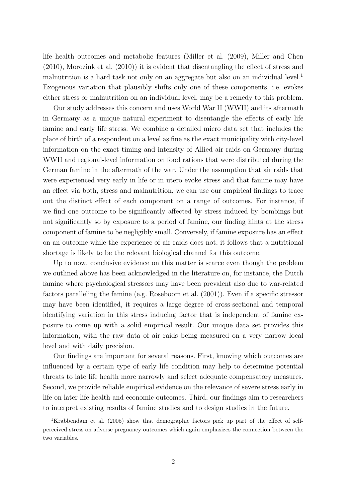life health outcomes and metabolic features (Miller et al. (2009), Miller and Chen (2010), Morozink et al. (2010)) it is evident that disentangling the effect of stress and malnutrition is a hard task not only on an aggregate but also on an individual level.<sup>1</sup> Exogenous variation that plausibly shifts only one of these components, i.e. evokes either stress or malnutrition on an individual level, may be a remedy to this problem.

Our study addresses this concern and uses World War II (WWII) and its aftermath in Germany as a unique natural experiment to disentangle the effects of early life famine and early life stress. We combine a detailed micro data set that includes the place of birth of a respondent on a level as fine as the exact municipality with city-level information on the exact timing and intensity of Allied air raids on Germany during WWII and regional-level information on food rations that were distributed during the German famine in the aftermath of the war. Under the assumption that air raids that were experienced very early in life or in utero evoke stress and that famine may have an effect via both, stress and malnutrition, we can use our empirical findings to trace out the distinct effect of each component on a range of outcomes. For instance, if we find one outcome to be significantly affected by stress induced by bombings but not significantly so by exposure to a period of famine, our finding hints at the stress component of famine to be negligibly small. Conversely, if famine exposure has an effect on an outcome while the experience of air raids does not, it follows that a nutritional shortage is likely to be the relevant biological channel for this outcome.

Up to now, conclusive evidence on this matter is scarce even though the problem we outlined above has been acknowledged in the literature on, for instance, the Dutch famine where psychological stressors may have been prevalent also due to war-related factors paralleling the famine (e.g. Roseboom et al. (2001)). Even if a specific stressor may have been identified, it requires a large degree of cross-sectional and temporal identifying variation in this stress inducing factor that is independent of famine exposure to come up with a solid empirical result. Our unique data set provides this information, with the raw data of air raids being measured on a very narrow local level and with daily precision.

Our findings are important for several reasons. First, knowing which outcomes are influenced by a certain type of early life condition may help to determine potential threats to late life health more narrowly and select adequate compensatory measures. Second, we provide reliable empirical evidence on the relevance of severe stress early in life on later life health and economic outcomes. Third, our findings aim to researchers to interpret existing results of famine studies and to design studies in the future.

<sup>&</sup>lt;sup>1</sup>Krabbendam et al. (2005) show that demographic factors pick up part of the effect of selfperceived stress on adverse pregnancy outcomes which again emphasizes the connection between the two variables.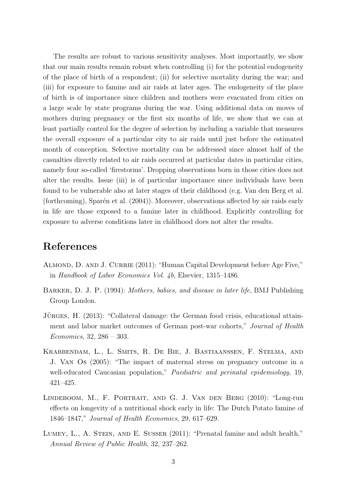The results are robust to various sensitivity analyses. Most importantly, we show that our main results remain robust when controlling (i) for the potential endogeneity of the place of birth of a respondent; (ii) for selective mortality during the war; and (iii) for exposure to famine and air raids at later ages. The endogeneity of the place of birth is of importance since children and mothers were evacuated from cities on a large scale by state programs during the war. Using additional data on moves of mothers during pregnancy or the first six months of life, we show that we can at least partially control for the degree of selection by including a variable that measures the overall exposure of a particular city to air raids until just before the estimated month of conception. Selective mortality can be addressed since almost half of the casualties directly related to air raids occurred at particular dates in particular cities, namely four so-called 'firestorms'. Dropping observations born in those cities does not alter the results. Issue (iii) is of particular importance since individuals have been found to be vulnerable also at later stages of their childhood (e.g. Van den Berg et al. (forthcoming), Sparén et al.  $(2004)$ ). Moreover, observations affected by air raids early in life are those exposed to a famine later in childhood. Explicitly controlling for exposure to adverse conditions later in childhood does not alter the results.

## References

- ALMOND, D. AND J. CURRIE (2011): "Human Capital Development before Age Five," in Handbook of Labor Economics Vol. 4b, Elsevier, 1315–1486.
- Barker, D. J. P. (1994): Mothers, babies, and disease in later life, BMJ Publishing Group London.
- JÜRGES, H. (2013): "Collateral damage: the German food crisis, educational attainment and labor market outcomes of German post-war cohorts," Journal of Health Economics, 32, 286 – 303.
- Krabbendam, L., L. Smits, R. De Bie, J. Bastiaanssen, F. Stelma, and J. Van Os (2005): "The impact of maternal stress on pregnancy outcome in a well-educated Caucasian population," *Paediatric and perinatal epidemiology*, 19, 421–425.
- Lindeboom, M., F. Portrait, and G. J. Van den Berg (2010): "Long-run effects on longevity of a nutritional shock early in life: The Dutch Potato famine of 1846–1847," Journal of Health Economics, 29, 617–629.
- LUMEY, L., A. STEIN, AND E. SUSSER (2011): "Prenatal famine and adult health," Annual Review of Public Health, 32, 237–262.